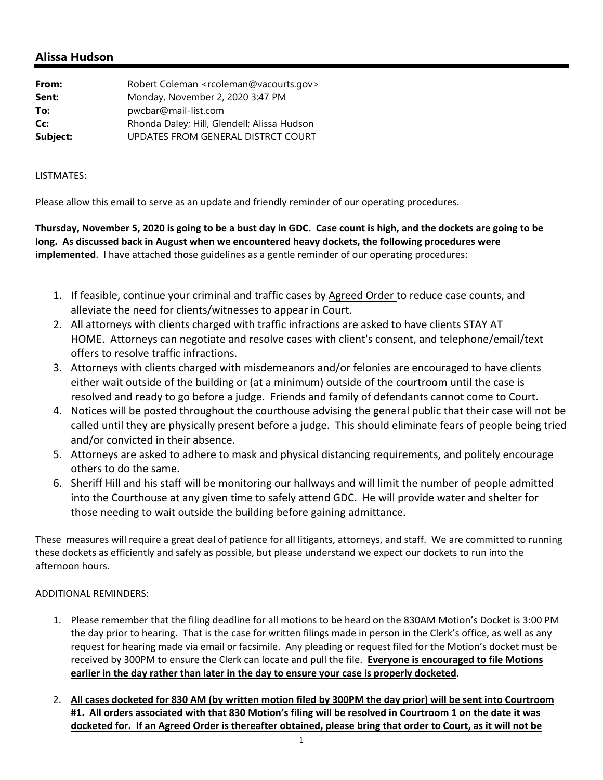## **Alissa Hudson**

| From:    | Robert Coleman <rcoleman@vacourts.gov></rcoleman@vacourts.gov> |
|----------|----------------------------------------------------------------|
| Sent:    | Monday, November 2, 2020 3:47 PM                               |
| To:      | pwcbar@mail-list.com                                           |
| Cc:      | Rhonda Daley; Hill, Glendell; Alissa Hudson                    |
| Subject: | UPDATES FROM GENERAL DISTRCT COURT                             |

## LISTMATES:

Please allow this email to serve as an update and friendly reminder of our operating procedures.

Thursday, November 5, 2020 is going to be a bust day in GDC. Case count is high, and the dockets are going to be **long. As discussed back in August when we encountered heavy dockets, the following procedures were implemented**. I have attached those guidelines as a gentle reminder of our operating procedures:

- 1. If feasible, continue your criminal and traffic cases by Agreed Order to reduce case counts, and alleviate the need for clients/witnesses to appear in Court.
- 2. All attorneys with clients charged with traffic infractions are asked to have clients STAY AT HOME. Attorneys can negotiate and resolve cases with client's consent, and telephone/email/text offers to resolve traffic infractions.
- 3. Attorneys with clients charged with misdemeanors and/or felonies are encouraged to have clients either wait outside of the building or (at a minimum) outside of the courtroom until the case is resolved and ready to go before a judge. Friends and family of defendants cannot come to Court.
- 4. Notices will be posted throughout the courthouse advising the general public that their case will not be called until they are physically present before a judge. This should eliminate fears of people being tried and/or convicted in their absence.
- 5. Attorneys are asked to adhere to mask and physical distancing requirements, and politely encourage others to do the same.
- 6. Sheriff Hill and his staff will be monitoring our hallways and will limit the number of people admitted into the Courthouse at any given time to safely attend GDC. He will provide water and shelter for those needing to wait outside the building before gaining admittance.

These measures will require a great deal of patience for all litigants, attorneys, and staff. We are committed to running these dockets as efficiently and safely as possible, but please understand we expect our dockets to run into the afternoon hours.

## ADDITIONAL REMINDERS:

- 1. Please remember that the filing deadline for all motions to be heard on the 830AM Motion's Docket is 3:00 PM the day prior to hearing. That is the case for written filings made in person in the Clerk's office, as well as any request for hearing made via email or facsimile. Any pleading or request filed for the Motion's docket must be received by 300PM to ensure the Clerk can locate and pull the file. **Everyone is encouraged to file Motions earlier in the day rather than later in the day to ensure your case is properly docketed**.
- 2. All cases docketed for 830 AM (by written motion filed by 300PM the day prior) will be sent into Courtroom #1. All orders associated with that 830 Motion's filing will be resolved in Courtroom 1 on the date it was docketed for. If an Agreed Order is thereafter obtained, please bring that order to Court, as it will not be